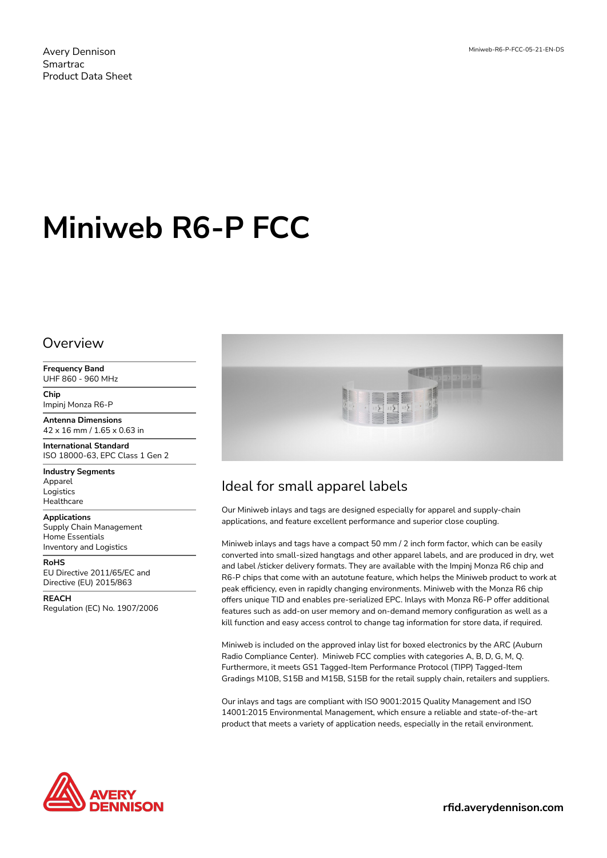# **Miniweb R6-P FCC**

#### Overview

**Frequency Band** UHF 860 - 960 MHz

**Chip** Impinj Monza R6-P

**Antenna Dimensions** 42 x 16 mm / 1.65 x 0.63 in

**International Standard** ISO 18000-63, EPC Class 1 Gen 2

**Industry Segments** Apparel Logistics **Healthcare** 

**Applications** Supply Chain Management Home Essentials Inventory and Logistics

**RoHS** EU Directive 2011/65/EC and Directive (EU) 2015/863

**REACH** Regulation (EC) No. 1907/2006



## Ideal for small apparel labels

Our Miniweb inlays and tags are designed especially for apparel and supply-chain applications, and feature excellent performance and superior close coupling.

Miniweb inlays and tags have a compact 50 mm / 2 inch form factor, which can be easily converted into small-sized hangtags and other apparel labels, and are produced in dry, wet and label /sticker delivery formats. They are available with the Impinj Monza R6 chip and R6-P chips that come with an autotune feature, which helps the Miniweb product to work at peak efficiency, even in rapidly changing environments. Miniweb with the Monza R6 chip offers unique TID and enables pre-serialized EPC. Inlays with Monza R6-P offer additional features such as add-on user memory and on-demand memory configuration as well as a kill function and easy access control to change tag information for store data, if required.

Miniweb is included on the approved inlay list for boxed electronics by the ARC (Auburn Radio Compliance Center). Miniweb FCC complies with categories A, B, D, G, M, Q. Furthermore, it meets GS1 Tagged-Item Performance Protocol (TIPP) Tagged-Item Gradings M10B, S15B and M15B, S15B for the retail supply chain, retailers and suppliers.

Our inlays and tags are compliant with ISO 9001:2015 Quality Management and ISO 14001:2015 Environmental Management, which ensure a reliable and state-of-the-art product that meets a variety of application needs, especially in the retail environment.